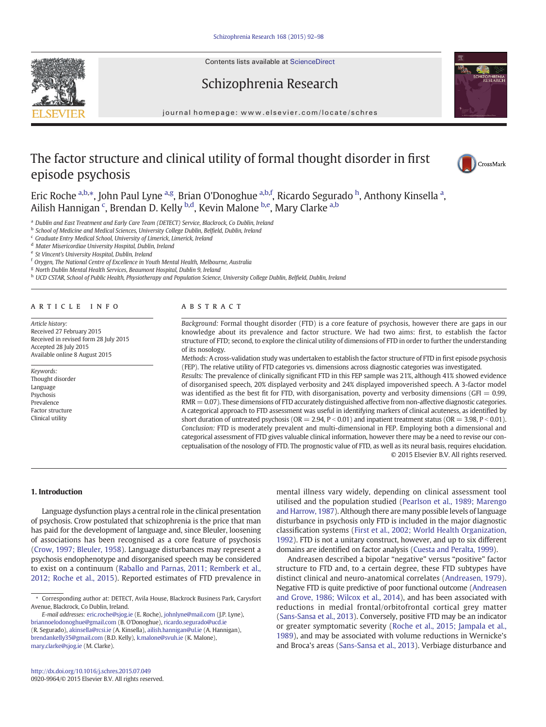Contents lists available at ScienceDirect







journal homepage: www.elsevier.com/locate/schres

## The factor structure and clinical utility of formal thought disorder in first episode psychosis



Eric Roche <sup>a,b,\*</sup>, John Paul Lyne <sup>a,g</sup>, Brian O'Donoghue <sup>a,b,f</sup>, Ricardo Segurado <sup>h</sup>, Anthony Kinsella <sup>a</sup>, Ailish Hannigan <sup>c</sup>, Brendan D. Kelly <sup>b,d</sup>, Kevin Malone <sup>b,e</sup>, Mary Clarke <sup>a,b</sup>

a Dublin and East Treatment and Early Care Team (DETECT) Service, Blackrock, Co Dublin, Ireland

**b** School of Medicine and Medical Sciences, University College Dublin, Belfield, Dublin, Ireland

 $c$  Graduate Entry Medical School, University of Limerick, Limerick, Ireland

<sup>d</sup> Mater Misericordiae University Hospital, Dublin, Ireland

<sup>e</sup> St Vincent's University Hospital, Dublin, Ireland

<sup>f</sup> Orygen, The National Centre of Excellence in Youth Mental Health, Melbourne, Australia

<sup>g</sup> North Dublin Mental Health Services, Beaumont Hospital, Dublin 9, Ireland

h UCD CSTAR, School of Public Health, Physiotherapy and Population Science, University College Dublin, Belfield, Dublin, Ireland

#### article info abstract

Article history: Received 27 February 2015 Received in revised form 28 July 2015 Accepted 28 July 2015 Available online 8 August 2015

#### Keywords: Thought disorder Language Psychosis Prevalence Factor structure Clinical utility

Background: Formal thought disorder (FTD) is a core feature of psychosis, however there are gaps in our knowledge about its prevalence and factor structure. We had two aims: first, to establish the factor structure of FTD; second, to explore the clinical utility of dimensions of FTD in order to further the understanding of its nosology.

Methods: A cross-validation study was undertaken to establish the factor structure of FTD in first episode psychosis (FEP). The relative utility of FTD categories vs. dimensions across diagnostic categories was investigated.

Results: The prevalence of clinically significant FTD in this FEP sample was 21%, although 41% showed evidence of disorganised speech, 20% displayed verbosity and 24% displayed impoverished speech. A 3-factor model was identified as the best fit for FTD, with disorganisation, poverty and verbosity dimensions (GFI =  $0.99$ , RMR = 0.07). These dimensions of FTD accurately distinguished affective from non-affective diagnostic categories. A categorical approach to FTD assessment was useful in identifying markers of clinical acuteness, as identified by short duration of untreated psychosis (OR = 2.94, P < 0.01) and inpatient treatment status (OR = 3.98, P < 0.01). Conclusion: FTD is moderately prevalent and multi-dimensional in FEP. Employing both a dimensional and categorical assessment of FTD gives valuable clinical information, however there may be a need to revise our conceptualisation of the nosology of FTD. The prognostic value of FTD, as well as its neural basis, requires elucidation. © 2015 Elsevier B.V. All rights reserved.

1. Introduction

Language dysfunction plays a central role in the clinical presentation of psychosis. Crow postulated that schizophrenia is the price that man has paid for the development of language and, since Bleuler, loosening of associations has been recognised as a core feature of psychosis [\(Crow, 1997; Bleuler, 1958](#page--1-0)). Language disturbances may represent a psychosis endophenotype and disorganised speech may be considered to exist on a continuum ([Raballo and Parnas, 2011; Remberk et al.,](#page--1-0) [2012; Roche et al., 2015\)](#page--1-0). Reported estimates of FTD prevalence in

E-mail addresses: [eric.roche@sjog.ie](mailto:eric.roche@sjog.ie) (E. Roche), [johnlyne@mail.com](mailto:johnlyne@mail.com) (J.P. Lyne), [briannoelodonoghue@gmail.com](mailto:briannoelodonoghue@gmail.com) (B. O'Donoghue), [ricardo.segurado@ucd.ie](mailto:ricardo.segurado@ucd.ie) (R. Segurado), [akinsella@rcsi.ie](mailto:akinsella@rcsi.ie) (A. Kinsella), [ailish.hannigan@ul.ie](mailto:ailish.hannigan@ul.ie) (A. Hannigan), [brendankelly35@gmail.com](mailto:brendankelly35@gmail.com) (B.D. Kelly), [k.malone@svuh.ie](mailto:k.malone@svuh.ie) (K. Malone), [mary.clarke@sjog.ie](mailto:mary.clarke@sjog.ie) (M. Clarke).

mental illness vary widely, depending on clinical assessment tool utilised and the population studied [\(Pearlson et al., 1989; Marengo](#page--1-0) [and Harrow, 1987\)](#page--1-0). Although there are many possible levels of language disturbance in psychosis only FTD is included in the major diagnostic classification systems ([First et al., 2002; World Health Organization,](#page--1-0) [1992\)](#page--1-0). FTD is not a unitary construct, however, and up to six different domains are identified on factor analysis [\(Cuesta and Peralta, 1999](#page--1-0)).

Andreasen described a bipolar "negative" versus "positive" factor structure to FTD and, to a certain degree, these FTD subtypes have distinct clinical and neuro-anatomical correlates ([Andreasen, 1979](#page--1-0)). Negative FTD is quite predictive of poor functional outcome ([Andreasen](#page--1-0) [and Grove, 1986; Wilcox et al., 2014](#page--1-0)), and has been associated with reductions in medial frontal/orbitofrontal cortical grey matter [\(Sans-Sansa et al., 2013\)](#page--1-0). Conversely, positive FTD may be an indicator or greater symptomatic severity [\(Roche et al., 2015; Jampala et al.,](#page--1-0) [1989](#page--1-0)), and may be associated with volume reductions in Wernicke's and Broca's areas [\(Sans-Sansa et al., 2013](#page--1-0)). Verbiage disturbance and

<sup>⁎</sup> Corresponding author at: DETECT, Avila House, Blackrock Business Park, Carysfort Avenue, Blackrock, Co Dublin, Ireland.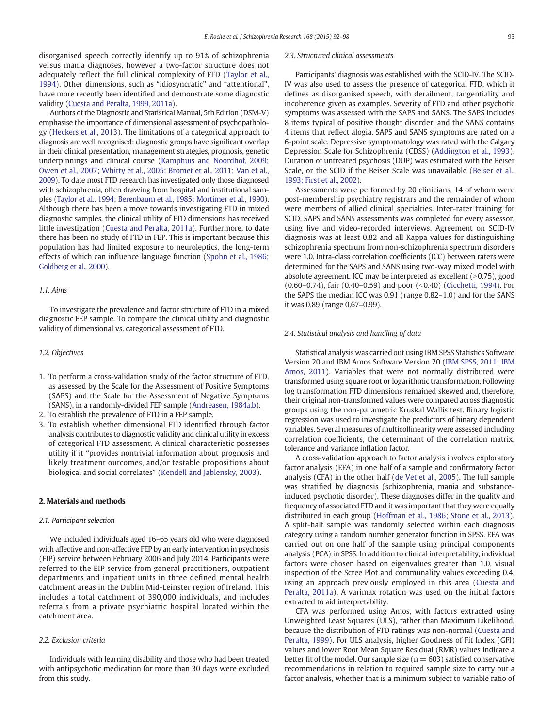disorganised speech correctly identify up to 91% of schizophrenia versus mania diagnoses, however a two-factor structure does not adequately reflect the full clinical complexity of FTD ([Taylor et al.,](#page--1-0) [1994](#page--1-0)). Other dimensions, such as "idiosyncratic" and "attentional", have more recently been identified and demonstrate some diagnostic validity ([Cuesta and Peralta, 1999, 2011a\)](#page--1-0).

Authors of the Diagnostic and Statistical Manual, 5th Edition (DSM-V) emphasise the importance of dimensional assessment of psychopathology [\(Heckers et al., 2013](#page--1-0)). The limitations of a categorical approach to diagnosis are well recognised: diagnostic groups have significant overlap in their clinical presentation, management strategies, prognosis, genetic underpinnings and clinical course ([Kamphuis and Noordhof, 2009;](#page--1-0) [Owen et al., 2007; Whitty et al., 2005; Bromet et al., 2011; Van et al.,](#page--1-0) [2009](#page--1-0)). To date most FTD research has investigated only those diagnosed with schizophrenia, often drawing from hospital and institutional samples [\(Taylor et al., 1994; Berenbaum et al., 1985; Mortimer et al., 1990](#page--1-0)). Although there has been a move towards investigating FTD in mixed diagnostic samples, the clinical utility of FTD dimensions has received little investigation [\(Cuesta and Peralta, 2011a\)](#page--1-0). Furthermore, to date there has been no study of FTD in FEP. This is important because this population has had limited exposure to neuroleptics, the long-term effects of which can influence language function [\(Spohn et al., 1986;](#page--1-0) [Goldberg et al., 2000](#page--1-0)).

### 1.1. Aims

To investigate the prevalence and factor structure of FTD in a mixed diagnostic FEP sample. To compare the clinical utility and diagnostic validity of dimensional vs. categorical assessment of FTD.

#### 1.2. Objectives

- 1. To perform a cross-validation study of the factor structure of FTD, as assessed by the Scale for the Assessment of Positive Symptoms (SAPS) and the Scale for the Assessment of Negative Symptoms (SANS), in a randomly-divided FEP sample ([Andreasen, 1984a,b](#page--1-0)).
- 2. To establish the prevalence of FTD in a FEP sample.
- 3. To establish whether dimensional FTD identified through factor analysis contributes to diagnostic validity and clinical utility in excess of categorical FTD assessment. A clinical characteristic possesses utility if it "provides nontrivial information about prognosis and likely treatment outcomes, and/or testable propositions about biological and social correlates" ([Kendell and Jablensky, 2003](#page--1-0)).

#### 2. Materials and methods

#### 2.1. Participant selection

We included individuals aged 16–65 years old who were diagnosed with affective and non-affective FEP by an early intervention in psychosis (EIP) service between February 2006 and July 2014. Participants were referred to the EIP service from general practitioners, outpatient departments and inpatient units in three defined mental health catchment areas in the Dublin Mid-Leinster region of Ireland. This includes a total catchment of 390,000 individuals, and includes referrals from a private psychiatric hospital located within the catchment area.

### 2.2. Exclusion criteria

Individuals with learning disability and those who had been treated with antipsychotic medication for more than 30 days were excluded from this study.

#### 2.3. Structured clinical assessments

Participants' diagnosis was established with the SCID-IV. The SCID-IV was also used to assess the presence of categorical FTD, which it defines as disorganised speech, with derailment, tangentiality and incoherence given as examples. Severity of FTD and other psychotic symptoms was assessed with the SAPS and SANS. The SAPS includes 8 items typical of positive thought disorder, and the SANS contains 4 items that reflect alogia. SAPS and SANS symptoms are rated on a 6-point scale. Depressive symptomatology was rated with the Calgary Depression Scale for Schizophrenia (CDSS) [\(Addington et al., 1993](#page--1-0)). Duration of untreated psychosis (DUP) was estimated with the Beiser Scale, or the SCID if the Beiser Scale was unavailable ([Beiser et al.,](#page--1-0) [1993; First et al., 2002](#page--1-0)).

Assessments were performed by 20 clinicians, 14 of whom were post-membership psychiatry registrars and the remainder of whom were members of allied clinical specialties. Inter-rater training for SCID, SAPS and SANS assessments was completed for every assessor, using live and video-recorded interviews. Agreement on SCID-IV diagnosis was at least 0.82 and all Kappa values for distinguishing schizophrenia spectrum from non-schizophrenia spectrum disorders were 1.0. Intra-class correlation coefficients (ICC) between raters were determined for the SAPS and SANS using two-way mixed model with absolute agreement. ICC may be interpreted as excellent  $(>0.75)$ , good  $(0.60-0.74)$ , fair  $(0.40-0.59)$  and poor  $(<0.40)$  [\(Cicchetti, 1994](#page--1-0)). For the SAPS the median ICC was 0.91 (range 0.82–1.0) and for the SANS it was 0.89 (range 0.67–0.99).

#### 2.4. Statistical analysis and handling of data

Statistical analysis was carried out using IBM SPSS Statistics Software Version 20 and IBM Amos Software Version 20 [\(IBM SPSS, 2011; IBM](#page--1-0) [Amos, 2011\)](#page--1-0). Variables that were not normally distributed were transformed using square root or logarithmic transformation. Following log transformation FTD dimensions remained skewed and, therefore, their original non-transformed values were compared across diagnostic groups using the non-parametric Kruskal Wallis test. Binary logistic regression was used to investigate the predictors of binary dependent variables. Several measures of multicollinearity were assessed including correlation coefficients, the determinant of the correlation matrix, tolerance and variance inflation factor.

A cross-validation approach to factor analysis involves exploratory factor analysis (EFA) in one half of a sample and confirmatory factor analysis (CFA) in the other half [\(de Vet et al., 2005](#page--1-0)). The full sample was stratified by diagnosis (schizophrenia, mania and substanceinduced psychotic disorder). These diagnoses differ in the quality and frequency of associated FTD and it was important that they were equally distributed in each group ([Hoffman et al., 1986; Stone et al., 2013](#page--1-0)). A split-half sample was randomly selected within each diagnosis category using a random number generator function in SPSS. EFA was carried out on one half of the sample using principal components analysis (PCA) in SPSS. In addition to clinical interpretability, individual factors were chosen based on eigenvalues greater than 1.0, visual inspection of the Scree Plot and communality values exceeding 0.4, using an approach previously employed in this area ([Cuesta and](#page--1-0) [Peralta, 2011a\)](#page--1-0). A varimax rotation was used on the initial factors extracted to aid interpretability.

CFA was performed using Amos, with factors extracted using Unweighted Least Squares (ULS), rather than Maximum Likelihood, because the distribution of FTD ratings was non-normal [\(Cuesta and](#page--1-0) [Peralta, 1999](#page--1-0)). For ULS analysis, higher Goodness of Fit Index (GFI) values and lower Root Mean Square Residual (RMR) values indicate a better fit of the model. Our sample size ( $n = 603$ ) satisfied conservative recommendations in relation to required sample size to carry out a factor analysis, whether that is a minimum subject to variable ratio of